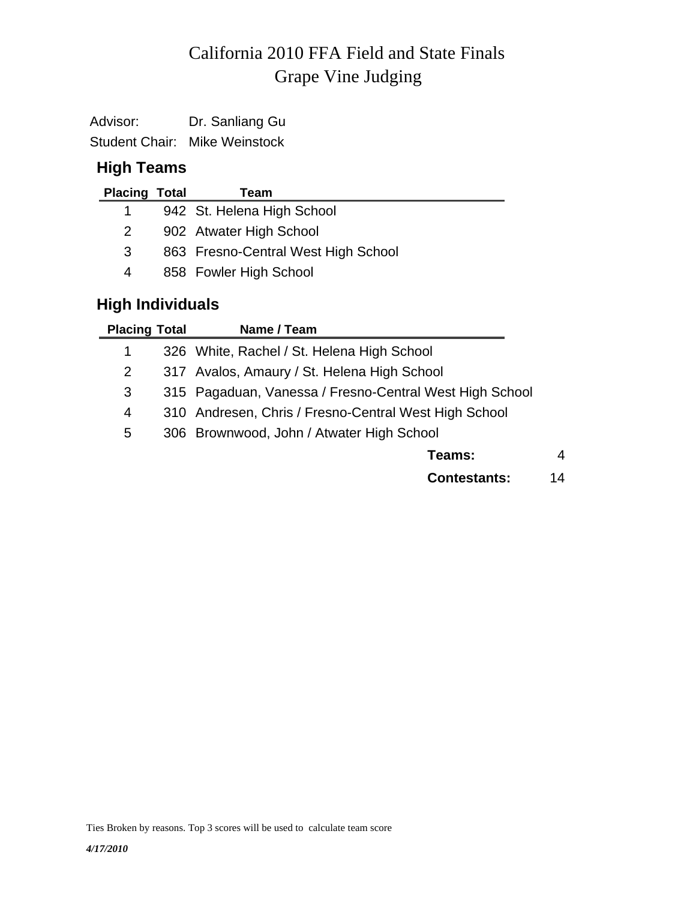# Grape Vine Judging California 2010 FFA Field and State Finals

Advisor: Dr. Sanliang Gu Student Chair: Mike Weinstock

# **High Teams**

| <b>Placing Total</b> | Team                                |
|----------------------|-------------------------------------|
|                      | 942 St. Helena High School          |
|                      | 902 Atwater High School             |
|                      | 863 Fresno-Central West High School |
|                      | 858 Fowler High School              |
|                      |                                     |

# **High Individuals**

| <b>Placing Total</b> | Name / Team                                             |    |
|----------------------|---------------------------------------------------------|----|
| 1                    | 326 White, Rachel / St. Helena High School              |    |
| $\overline{2}$       | 317 Avalos, Amaury / St. Helena High School             |    |
| 3                    | 315 Pagaduan, Vanessa / Fresno-Central West High School |    |
| 4                    | 310 Andresen, Chris / Fresno-Central West High School   |    |
| 5                    | 306 Brownwood, John / Atwater High School               |    |
|                      | Teams:                                                  | 4  |
|                      | <b>Contestants:</b>                                     | 14 |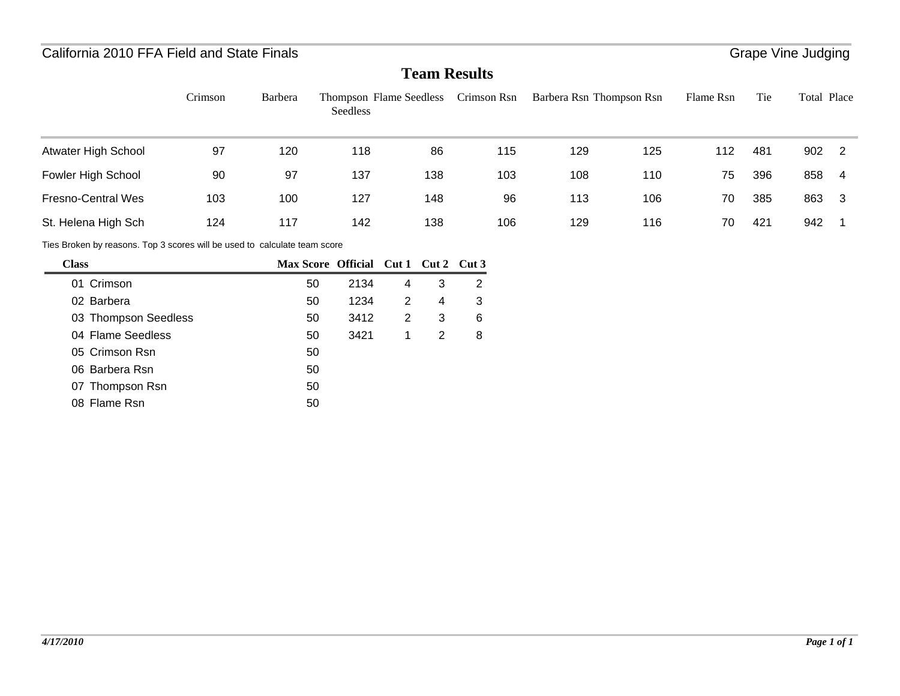## California 2010 FFA Field and State Finals

### **Team Results**

|                                                                           | Crimson | Barbera                   | Seedless |                |                | Thompson Flame Seedless Crimson Rsn | Barbera Rsn Thompson Rsn |     | Flame Rsn | Tie | Total Place |                |
|---------------------------------------------------------------------------|---------|---------------------------|----------|----------------|----------------|-------------------------------------|--------------------------|-----|-----------|-----|-------------|----------------|
| Atwater High School                                                       | 97      | 120                       | 118      |                | 86             | 115                                 | 129                      | 125 | 112       | 481 | 902         | $\overline{2}$ |
| Fowler High School                                                        | 90      | 97                        | 137      |                | 138            | 103                                 | 108                      | 110 | 75        | 396 | 858         | $\overline{4}$ |
| <b>Fresno-Central Wes</b>                                                 | 103     | 100                       | 127      |                | 148            | 96                                  | 113                      | 106 | 70        | 385 | 863         | $\mathbf{3}$   |
| St. Helena High Sch                                                       | 124     | 117                       | 142      |                | 138            | 106                                 | 129                      | 116 | 70        | 421 | 942         |                |
| Ties Broken by reasons. Top 3 scores will be used to calculate team score |         |                           |          |                |                |                                     |                          |     |           |     |             |                |
| <b>Class</b>                                                              |         | <b>Max Score Official</b> |          | Cut 1          | Cut 2          | Cut 3                               |                          |     |           |     |             |                |
| 01 Crimson                                                                |         | 50                        | 2134     | 4              | 3              | $\overline{2}$                      |                          |     |           |     |             |                |
| 02 Barbera                                                                |         | 50                        | 1234     | $\overline{2}$ | 4              | 3                                   |                          |     |           |     |             |                |
| 03 Thompson Seedless                                                      |         | 50                        | 3412     | $\overline{2}$ | 3              | 6                                   |                          |     |           |     |             |                |
| 04 Flame Seedless                                                         |         | 50                        | 3421     | 1              | $\overline{2}$ | 8                                   |                          |     |           |     |             |                |
| 05 Crimson Rsn                                                            |         | 50                        |          |                |                |                                     |                          |     |           |     |             |                |
| 06 Barbera Rsn                                                            |         | 50                        |          |                |                |                                     |                          |     |           |     |             |                |
| 07 Thompson Rsn                                                           |         | 50                        |          |                |                |                                     |                          |     |           |     |             |                |
| 08 Flame Rsn                                                              |         | 50                        |          |                |                |                                     |                          |     |           |     |             |                |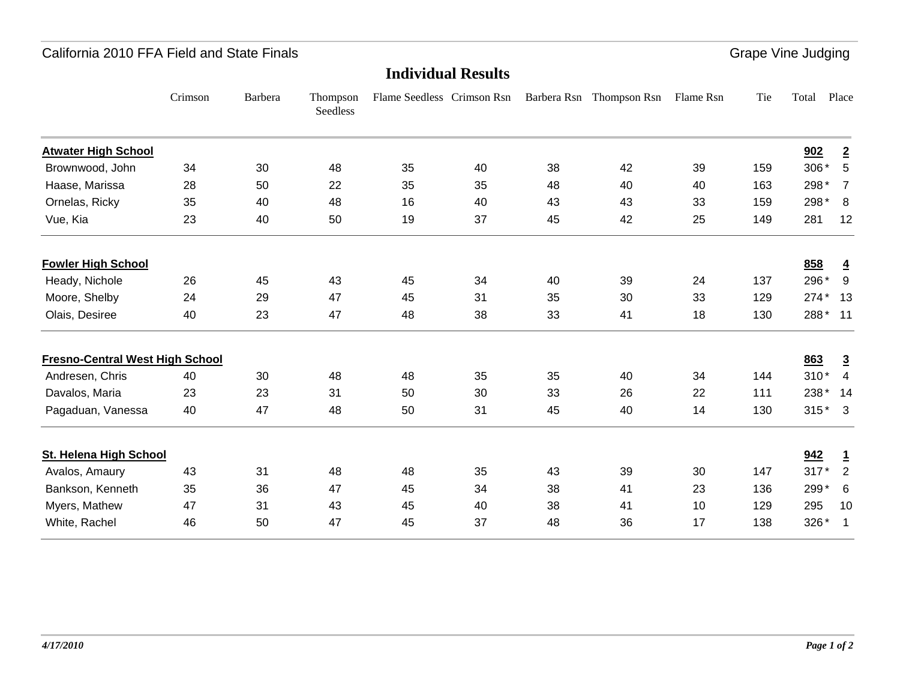#### California 2010 FFA Field and State Finals

Grape Vine Judging

#### **Individual Results**

|                                        | Crimson | Barbera | Thompson<br>Seedless | Flame Seedless Crimson Rsn |    |    | Barbera Rsn Thompson Rsn Flame Rsn |    | Tie | Total   | Place          |
|----------------------------------------|---------|---------|----------------------|----------------------------|----|----|------------------------------------|----|-----|---------|----------------|
| <b>Atwater High School</b>             |         |         |                      |                            |    |    |                                    |    |     | 902     | $\overline{2}$ |
| Brownwood, John                        | 34      | 30      | 48                   | 35                         | 40 | 38 | 42                                 | 39 | 159 | 306*    | 5              |
| Haase, Marissa                         | 28      | 50      | 22                   | 35                         | 35 | 48 | 40                                 | 40 | 163 | 298*    | $\overline{7}$ |
| Ornelas, Ricky                         | 35      | 40      | 48                   | 16                         | 40 | 43 | 43                                 | 33 | 159 | 298*    | 8              |
| Vue, Kia                               | 23      | 40      | 50                   | 19                         | 37 | 45 | 42                                 | 25 | 149 | 281     | 12             |
| <b>Fowler High School</b>              |         |         |                      |                            |    |    |                                    |    |     | 858     | $\overline{4}$ |
| Heady, Nichole                         | 26      | 45      | 43                   | 45                         | 34 | 40 | 39                                 | 24 | 137 | 296*    | 9              |
| Moore, Shelby                          | 24      | 29      | 47                   | 45                         | 31 | 35 | 30                                 | 33 | 129 | 274* 13 |                |
| Olais, Desiree                         | 40      | 23      | 47                   | 48                         | 38 | 33 | 41                                 | 18 | 130 | 288* 11 |                |
| <b>Fresno-Central West High School</b> |         |         |                      |                            |    |    |                                    |    |     | 863     | $\overline{3}$ |
| Andresen, Chris                        | 40      | 30      | 48                   | 48                         | 35 | 35 | 40                                 | 34 | 144 | $310*$  | $\overline{4}$ |
| Davalos, Maria                         | 23      | 23      | 31                   | 50                         | 30 | 33 | 26                                 | 22 | 111 | 238* 14 |                |
| Pagaduan, Vanessa                      | 40      | 47      | 48                   | 50                         | 31 | 45 | 40                                 | 14 | 130 | $315*3$ |                |
| <b>St. Helena High School</b>          |         |         |                      |                            |    |    |                                    |    |     | 942     | $\mathbf{1}$   |
| Avalos, Amaury                         | 43      | 31      | 48                   | 48                         | 35 | 43 | 39                                 | 30 | 147 | $317*$  | $\overline{2}$ |
| Bankson, Kenneth                       | 35      | 36      | 47                   | 45                         | 34 | 38 | 41                                 | 23 | 136 | 299 *   | 6              |
| Myers, Mathew                          | 47      | 31      | 43                   | 45                         | 40 | 38 | 41                                 | 10 | 129 | 295     | 10             |
| White, Rachel                          | 46      | 50      | 47                   | 45                         | 37 | 48 | 36                                 | 17 | 138 | 326*    | $\mathbf{1}$   |